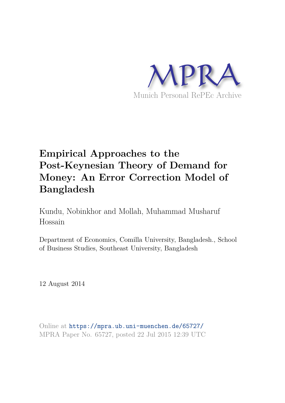

# **Empirical Approaches to the Post-Keynesian Theory of Demand for Money: An Error Correction Model of Bangladesh**

Kundu, Nobinkhor and Mollah, Muhammad Musharuf Hossain

Department of Economics, Comilla University, Bangladesh., School of Business Studies, Southeast University, Bangladesh

12 August 2014

Online at https://mpra.ub.uni-muenchen.de/65727/ MPRA Paper No. 65727, posted 22 Jul 2015 12:39 UTC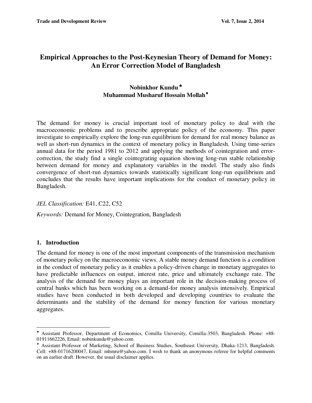# **Empirical Approaches to the Post-Keynesian Theory of Demand for Money: An Error Correction Model of Bangladesh**

# **Nobinkhor Kundu Muhammad Musharuf Hossain Mollah**

The demand for money is crucial important tool of monetary policy to deal with the macroeconomic problems and to prescribe appropriate policy of the economy. This paper investigate to empirically explore the long-run equilibrium for demand for real money balance as well as short-run dynamics in the context of monetary policy in Bangladesh. Using time-series annual data for the period 1981 to 2012 and applying the methods of cointegration and errorcorrection, the study find a single cointegrating equation showing long-run stable relationship between demand for money and explanatory variables in the model. The study also finds convergence of short-run dynamics towards statistically significant long-run equilibrium and concludes that the results have important implications for the conduct of monetary policy in Bangladesh.

## *JEL Classification:* E41, C22, C52

*Keywords:* Demand for Money, Cointegration, Bangladesh

## **1. Introduction**

 $\overline{a}$ 

The demand for money is one of the most important components of the transmission mechanism of monetary policy on the macroeconomic views. A stable money demand function is a condition in the conduct of monetary policy as it enables a policy-driven change in monetary aggregates to have predictable influences on output, interest rate, price and ultimately exchange rate. The analysis of the demand for money plays an important role in the decision-making process of central banks which has been working on a demand-for money analysis intensively. Empirical studies have been conducted in both developed and developing countries to evaluate the determinants and the stability of the demand for money function for various monetary aggregates.

Assistant Professor, Department of Economics, Comilla University, Comilla-3503, Bangladesh. Phone: +88- 01911662226, Email: [nobinkundu@yahoo.com](mailto:nobinkundu@yahoo.com) 

 Assistant Professor of Marketing, School of Business Studies, Southeast University, Dhaka-1213, Bangladesh. Cell: +88-01716200047, Email: [mhmru@yahoo.com.](mailto:mhmru@yahoo.com) I wish to thank an anonymous referee for helpful comments on an earlier draft. However, the usual disclaimer applies.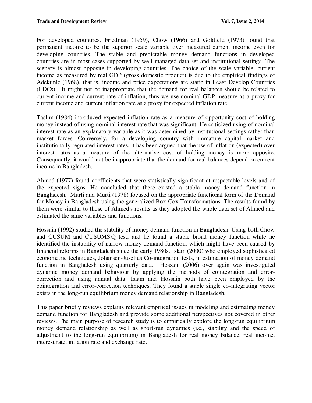For developed countries, Friedman (1959), Chow (1966) and Goldfeld (1973) found that permanent income to be the superior scale variable over measured current income even for developing countries. The stable and predictable money demand functions in developed countries are in most cases supported by well managed data set and institutional settings. The scenery is almost opposite in developing countries. The choice of the scale variable, current income as measured by real GDP (gross domestic product) is due to the empirical findings of Adekunle (1968), that is, income and price expectations are static in Least Develop Countries (LDCs). It might not be inappropriate that the demand for real balances should be related to current income and current rate of inflation, thus we use nominal GDP measure as a proxy for current income and current inflation rate as a proxy for expected inflation rate.

Taslim (1984) introduced expected inflation rate as a measure of opportunity cost of holding money instead of using nominal interest rate that was significant. He criticized using of nominal interest rate as an explanatory variable as it was determined by institutional settings rather than market forces. Conversely, for a developing country with immature capital market and institutionally regulated interest rates, it has been argued that the use of inflation (expected) over interest rates as a measure of the alternative cost of holding money is more apposite. Consequently, it would not be inappropriate that the demand for real balances depend on current income in Bangladesh.

Ahmed (1977) found coefficients that were statistically significant at respectable levels and of the expected signs. He concluded that there existed a stable money demand function in Bangladesh. Murti and Murti (1978) focused on the appropriate functional form of the Demand for Money in Bangladesh using the generalized Box-Cox Transformations. The results found by them were similar to those of Ahmed's results as they adopted the whole data set of Ahmed and estimated the same variables and functions.

Hossain (1992) studied the stability of money demand function in Bangladesh. Using both Chow and CUSUM and CUSUMS'Q test, and he found a stable broad money function while he identified the instability of narrow money demand function, which might have been caused by financial reforms in Bangladesh since the early 1980s. Islam (2000) who employed sophisticated econometric techniques, Johansen-Juselius Co-integration tests, in estimation of money demand function in Bangladesh using quarterly data. [Hossain](http://econpapers.repec.org/RAS/pho415.htm) [\(2006\)](mailto:akhtar.hossain@newcastle.edu.au) over again was investigated dynamic money demand behaviour by applying the methods of cointegration and errorcorrection and using annual data. Islam and Hossain both have been employed by the cointegration and error-correction techniques. They found a stable single co-integrating vector exists in the long-run equilibrium money demand relationship in Bangladesh.

This paper briefly reviews explains relevant empirical issues in modeling and estimating money demand function for Bangladesh and provide some additional perspectives not covered in other reviews. The main purpose of research study is to empirically explore the long-run equilibrium money demand relationship as well as short-run dynamics (i.e., stability and the speed of adjustment to the long-run equilibrium) in Bangladesh for real money balance, real income, interest rate, inflation rate and exchange rate.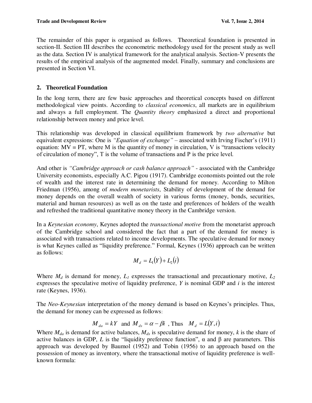The remainder of this paper is organised as follows. Theoretical foundation is presented in section-II. Section III describes the econometric methodology used for the present study as well as the data. Section IV is analytical framework for the analytical analysis. Section-V presents the results of the empirical analysis of the augmented model. Finally, summary and conclusions are presented in Section VI.

# **2. Theoretical Foundation**

In the long term, there are few basic approaches and theoretical concepts based on different methodological view points. According to *classical economics*, all markets are in equilibrium and always a full employment. The *Quantity theory* emphasized a direct and proportional relationship between money and price level.

This relationship was developed in classical equilibrium framework by *two alternative* but equivalent expressions: One is *"Equation of exchange"* – associated with Irving Fischer's (1911) equation:  $MV = PT$ , where M is the quantity of money in circulation, V is "transactions velocity of circulation of money", T is the volume of transactions and P is the price level.

And other is *"Cambridge approach or cash balance approach"* - associated with the Cambridge University economists, especially A.C. Pigou (1917). Cambridge economists pointed out the role of wealth and the interest rate in determining the demand for money. According to Milton Friedman (1956), among of *modern monetarists*, Stability of development of the demand for money depends on the overall wealth of society in various forms (money, bonds, securities, material and human resources) as well as on the taste and preferences of holders of the wealth and refreshed the traditional quantitative money theory in the Cambridge version.

In a *Keynesian economy*, Keynes adopted the *transactional motive* from the monetarist approach of the Cambridge school and considered the fact that a part of the demand for money is associated with transactions related to income developments. The speculative demand for money is what Keynes called as "liquidity preference." Formal, Keynes (1936) approach can be written as follows:

$$
M_d = L_1(Y) + L_2(i)
$$

Where  $M_d$  is demand for money,  $L_l$  expresses the transactional and precautionary motive,  $L_2$ expresses the speculative motive of liquidity preference, *Y* is nominal GDP and *i* is the interest rate (Keynes, 1936).

The *Neo-Keynesian* interpretation of the money demand is based on Keynes's principles. Thus, the demand for money can be expressed as follows:

$$
M_{da} = kY
$$
 and  $M_{ds} = \alpha - \beta i$ , Thus  $M_d = L(Y,i)$ 

Where *Mda* is demand for active balances, *Mds* is speculative demand for money, *k* is the share of active balances in GDP,  $L$  is the "liquidity preference function",  $\alpha$  and  $\beta$  are parameters. This approach was developed by Baumol (1952) and Tobin (1956) to an approach based on the possession of money as inventory, where the transactional motive of liquidity preference is wellknown formula: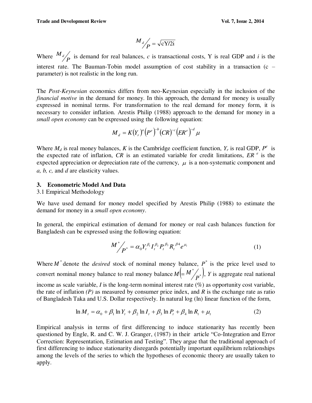$$
\frac{M_d}{P} = \sqrt{\text{cY}/2\text{i}}
$$

Where  $\frac{M_d}{P}$  is demand for real balances, *c* is transactional costs, Y is real GDP and *i* is the interest rate. The Bauman-Tobin model assumption of cost stability in a transaction (c – parameter) is not realistic in the long run.

The *Post-Keynesian* economics differs from neo-Keynesian especially in the inclusion of the *financial motive* in the demand for money. In this approach, the demand for money is usually expressed in nominal terms. For transformation to the real demand for money form, it is necessary to consider inflation. Arestis Philip (1988) approach to the demand for money in a *small open economy* can be expressed using the following equation:

$$
M_d = K(Y_r)^a (P^e)^{-b} (CR)^{-c} (ER^e)^{-d} \mu
$$

Where  $M_d$  is real money balances, *K* is the Cambridge coefficient function,  $Y_r$  is real GDP,  $P^e$  is the expected rate of inflation,  $CR$  is an estimated variable for credit limitations,  $ER<sup>e</sup>$  is the expected appreciation or depreciation rate of the currency,  $\mu$  is a non-systematic component and *a, b, c,* and *d* are elasticity values.

## **3. Econometric Model And Data**

### 3.1 Empirical Methodology

We have used demand for money model specified by Arestis Philip (1988) to estimate the demand for money in a *small open economy*.

In general, the empirical estimation of demand for money or real cash balances function for Bangladesh can be expressed using the following equation:

$$
M^*_{\bigp \, p^*} = \alpha_0 Y_t^{\beta_1} I_t^{\beta_2} P_t^{\beta_3} R_t^{\beta 4} e^{\mu_t}
$$
\n<sup>(1)</sup>

Where  $M^*$  denote the *desired* stock of nominal money balance,  $P^*$  is the price level used to convert nominal money balance to real money balance  $M = M^* /_{\mathbf{p}^*}$ ,  $M = M^{\dagger} / p^*$ , *Y* is aggregate real national income as scale variable,  $I$  is the long-term nominal interest rate  $(\%)$  as opportunity cost variable, the rate of inflation *(P)* as measured by consumer price index, and *R* is the exchange rate as ratio of Bangladesh Taka and U.S. Dollar respectively. In natural log (ln) linear function of the form,

$$
\ln M_{t} = \alpha_{0} + \beta_{1} \ln Y_{t} + \beta_{2} \ln I_{t} + \beta_{3} \ln P_{t} + \beta_{4} \ln R_{t} + \mu_{t}
$$
 (2)

Empirical analysis in terms of first differencing to induce stationarity has recently been questioned by Engle, R. and C. W. J. Granger, (1987) in their article "Co-Integration and Error Correction: Representation, Estimation and Testing". They argue that the traditional approach of first differencing to induce stationarity disregards potentially important equilibrium relationships among the levels of the series to which the hypotheses of economic theory are usually taken to apply.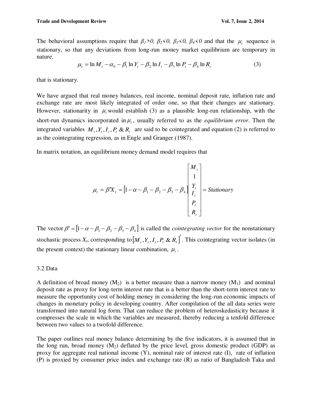The behavioral assumptions require that  $\beta_1 > 0$ ,  $\beta_2 < 0$ ,  $\beta_3 < 0$ ,  $\beta_4 < 0$  and that the  $\mu_t$  sequence is stationary, so that any deviations from long-run money market equilibrium are temporary in nature.

$$
\mu_t = \ln M_t - \alpha_0 - \beta_1 \ln Y_t - \beta_2 \ln I_t - \beta_3 \ln P_t - \beta_4 \ln R_t \tag{3}
$$

that is stationary.

We have argued that real money balances, real income, nominal deposit rate, inflation rate and exchange rate are most likely integrated of order one, so that their changes are stationary. However, stationarity in  $\mu$ , would establish (3) as a plausible long-run relationship, with the short-run dynamics incorporated in  $\mu_t$ , usually referred to as the *equilibrium error*. Then the integrated variables  $M_t$ ,  $Y_t$ ,  $I_t$ ,  $P_t$  &  $R_t$  are said to be cointegrated and equation (2) is referred to as the cointegrating regression, as in Engle and Granger (1987).

In matrix notation, an equilibrium money demand model requires that

$$
\mu_{t} = \beta' X_{t} = \begin{bmatrix} 1 - \alpha - \beta_{1} - \beta_{2} - \beta_{3} - \beta_{4} \end{bmatrix} \begin{bmatrix} M_{t} \\ \gamma_{t} \\ I_{t} \\ P_{t} \\ R_{t} \end{bmatrix} = Stationary
$$

The vector  $\beta' = [1 - \alpha - \beta_1 - \beta_2 - \beta_3 - \beta_4]$  is called the *cointegrating vector* for the nonstationary stochastic process  $X_t$ , corresponding to  $\left[ M_t, Y_t, I_t, P_t \& R_t \right]$ . This cointegrating vector isolates (in the present context) the stationary linear combination,  $\mu_t$ .

#### 3.2 Data

A definition of broad money  $(M_2)$  is a better measure than a narrow money  $(M_1)$  and nominal deposit rate as proxy for long-term interest rate that is a better than the short-term interest rate to measure the opportunity cost of holding money in considering the long-run economic impacts of changes in monetary policy in developing country. After compilation of the all data series were transformed into natural log form. That can reduce the problem of heteroskedasticity because it compresses the scale in which the variables are measured, thereby reducing a tenfold difference between two values to a twofold difference.

The paper outlines real money balance determining by the five indicators, it is assumed that in the long run, broad money  $(M_2)$  deflated by the price level, gross domestic product (GDP) as proxy for aggregate real national income (Y), nominal rate of interest rate (I), rate of inflation (P) is proxied by consumer price index and exchange rate (R) as ratio of Bangladesh Taka and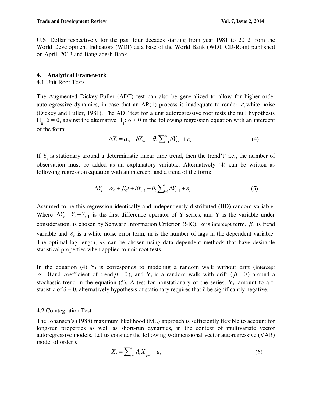U.S. Dollar respectively for the past four decades starting from year 1981 to 2012 from the World Development Indicators (WDI) data base of the World Bank (WDI, CD-Rom) published on April, 2013 and Bangladesh Bank.

#### **4. Analytical Framework**

#### 4.1 Unit Root Tests

The Augmented Dickey-Fuller (ADF) test can also be generalized to allow for higher-order autoregressive dynamics, in case that an AR $(1)$  process is inadequate to render  $\varepsilon$ <sub>*t*</sub> white noise (Dickey and Fuller, 1981). The ADF test for a unit autoregressive root tests the null hypothesis  $H_0$ : δ = 0, against the alternative  $H_1$ : δ < 0 in the following regression equation with an intercept of the form:

$$
\Delta Y_t = \alpha_0 + \delta Y_{t-1} + \theta_i \sum_{i=1}^m \Delta Y_{t-1} + \varepsilon_t
$$
\n(4)

If  $Y_t$  is stationary around a deterministic linear time trend, then the trend t' i.e., the number of observation must be added as an explanatory variable. Alternatively (4) can be written as following regression equation with an intercept and a trend of the form:

$$
\Delta Y_t = \alpha_0 + \beta_0 t + \delta Y_{t-1} + \theta_i \sum_{i=1}^m \Delta Y_{t-1} + \varepsilon_t
$$
\n<sup>(5)</sup>

Assumed to be this regression identically and independently distributed (IID) random variable. Where  $\Delta Y_t = Y_t - Y_{t-1}$  is the first difference operator of Y series, and Y is the variable under consideration, is chosen by Schwarz Information Criterion (SIC),  $\alpha$  is intercept term,  $\beta_t$  is trend variable and  $\varepsilon$ <sub>i</sub> is a white noise error term, m is the number of lags in the dependent variable. The optimal lag length, *m*, can be chosen using data dependent methods that have desirable statistical properties when applied to unit root tests.

In the equation (4)  $Y_t$  is corresponds to modeling a random walk without drift (intercept  $\alpha = 0$  and coefficient of trend  $\beta = 0$ ), and Y<sub>t</sub> is a random walk with drift ( $\beta = 0$ ) around a stochastic trend in the equation (5). A test for nonstationary of the series,  $Y_t$ , amount to a tstatistic of  $\delta = 0$ , alternatively hypothesis of stationary requires that  $\delta$  be significantly negative.

#### 4.2 Cointegration Test

The Johansen"s (1988) maximum likelihood (ML) approach is sufficiently flexible to account for long-run properties as well as short-run dynamics, in the context of multivariate vector autoregressive models. Let us consider the following *p-*dimensional vector autoregressive (VAR) model of order *k* 

$$
X_{t} = \sum_{i=1}^{k} A_{i} X_{t-i} + u_{t}
$$
 (6)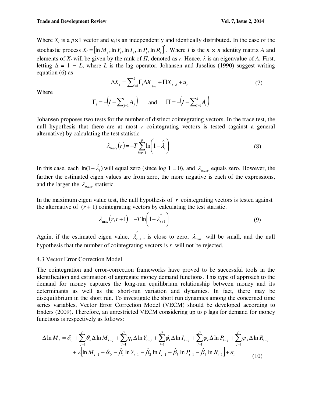Where  $X_t$  is a  $p \times 1$  vector and  $u_t$  is an independently and identically distributed. In the case of the stochastic process  $X_t = [\ln M_t, \ln Y_t, \ln I_t, \ln P_t, \ln R_t]$ . Where *I* is the  $n \times n$  identity matrix *A* and elements of  $X_t$  will be given by the rank of  $\Pi$ , denoted as  $r$ . Hence,  $\lambda$  is an eigenvalue of  $A$ . First, letting  $\Delta = 1 - L$ , where *L* is the lag operator, Johansen and Juselius (1990) suggest writing equation (6) as

$$
\Delta X_t = \sum_{i=1}^k \Gamma_i \Delta X_{t-i} + \Pi X_{t-k} + u_t \tag{7}
$$

Where

 $\Gamma_i = -\left(I - \sum_{j=1}^i A_j\right)$  $\sum_{j=1}^{i} A_j$  and  $\Pi = -\left(I - \sum_{i=1}^{k} A_i\right)$  $I - \sum_{i=1}^{\infty} A_i$ 

Johansen proposes two tests for the number of distinct cointegrating vectors. In the trace test, the null hypothesis that there are at most *r* cointegrating vectors is tested (against a general alternative) by calculating the test statistic

$$
\lambda_{trace}(r) = -T \sum_{i=r+1}^{p} \ln\left(1 - \hat{\lambda}_i\right)
$$
\n(8)

In this case, each  $\ln(1-\hat{\lambda}_i)$  will equal zero (since log 1 = 0), and  $\lambda_{\text{trace}}$  equals zero. However, the farther the estimated eigen values are from zero, the more negative is each of the expressions, and the larger the  $\lambda_{trace}$  statistic.

In the maximum eigen value test, the null hypothesis of *r* cointegrating vectors is tested against the alternative of  $(r + 1)$  cointegrating vectors by calculating the test statistic.

$$
\lambda_{\max}(r, r+1) = -T \ln \left( 1 - \lambda_{r+1} \right) \tag{9}
$$

Again, if the estimated eigen value,  $\overrightarrow{\lambda}_{r}$  $\lambda_{r+1}$ , is close to zero,  $\lambda_{\text{max}}$  will be small, and the null hypothesis that the number of cointegrating vectors is *r* will not be rejected.

#### 4.3 Vector Error Correction Model

The cointegration and error-correction frameworks have proved to be successful tools in the identification and estimation of aggregate money demand functions. This type of approach to the demand for money captures the long-run equilibrium relationship between money and its determinants as well as the short-run variation and dynamics. In fact, there may be disequilibrium in the short run. To investigate the short run dynamics among the concerned time series variables, Vector Error Correction Model (VECM) should be developed according to Enders (2009). Therefore, an unrestricted VECM considering up to  $\rho$  lags for demand for money functions is respectively as follows:

$$
\Delta \ln M_{t} = \delta_{0} + \sum_{j=1}^{\rho} \theta_{k} \Delta \ln M_{t-j} + \sum_{j=1}^{\rho} \eta_{k} \Delta \ln Y_{t-j} + \sum_{j=1}^{\rho} \phi_{k} \Delta \ln I_{t-j} + \sum_{j=1}^{\rho} \phi_{k} \Delta \ln P_{t-j} + \sum_{j=1}^{\rho} \psi_{k} \Delta \ln R_{t-j} + \lambda \left[ \ln M_{t-1} - \hat{\alpha}_{0} - \hat{\beta}_{1} \ln Y_{t-1} - \hat{\beta}_{2} \ln I_{t-1} - \hat{\beta}_{3} \ln P_{t-1} - \hat{\beta}_{4} \ln R_{t-1} \right] + \varepsilon_{t}
$$
(10)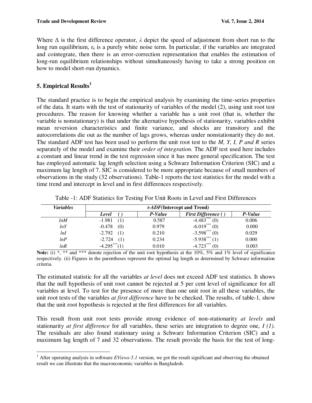Where  $\Delta$  is the first difference operator,  $\lambda$  depict the speed of adjustment from short run to the long run equilibrium,  $\varepsilon_t$  is a purely white noise term. In particular, if the variables are integrated and cointegrate, then there is an error-correction representation that enables the estimation of long-run equilibrium relationships without simultaneously having to take a strong position on how to model short-run dynamics.

# **5. Empirical Results<sup>1</sup>**

l

The standard practice is to begin the empirical analysis by examining the time-series properties of the data. It starts with the test of stationarity of variables of the model (2), using unit root test procedures. The reason for knowing whether a variable has a unit root (that is, whether the variable is nonstationary) is that under the alternative hypothesis of stationarity, variables exhibit mean reversion characteristics and finite variance, and shocks are transitory and the autocorrelations die out as the number of lags grows, whereas under nonstationarity they do not. The standard ADF test has been used to perform the unit root test to the *M, Y, I, P and R* series separately of the model and examine their *order of integration.* The ADF test used here includes a constant and linear trend in the test regression since it has more general specification. The test has employed automatic lag length selection using a Schwarz Information Criterion (SIC) and a maximum lag length of 7. SIC is considered to be more appropriate because of small numbers of observations in the study (32 observations). Table-1 reports the test statistics for the model with a time trend and intercept in level and in first differences respectively.

| <b>Variables</b> | <i>t-ADF</i> (Intercept and Trend) |         |                            |         |  |  |  |  |
|------------------|------------------------------------|---------|----------------------------|---------|--|--|--|--|
|                  | Level                              | P-Value | <b>First Difference</b> () | P-Value |  |  |  |  |
| lnM              | $-1.981$                           | 0.587   | $-4.483***$<br>(0)         | 0.006   |  |  |  |  |
| lnY              | $-0.478$<br>(0)                    | 0.979   | $-6.019***$<br>(0)         | 0.000   |  |  |  |  |
| lnI              | $-2.792$<br>(1)                    | 0.210   | $-3.598***$<br>(0)         | 0.029   |  |  |  |  |
| lnP              | $-2.724$<br>(1)                    | 0.234   | $-5.938***$                | 0.000   |  |  |  |  |
| lnR              | $-4.295***$                        | 0.010   | $-4.723***$                | 0.003   |  |  |  |  |

Table -1: ADF Statistics for Testing For Unit Roots in Level and First Differences

Note: (i) \*, \*\* and \*\*\* denote rejection of the unit root hypothesis at the 10%, 5% and 1% level of significance respectively. (ii) Figures in the parentheses represent the optimal lag length as determined by Schwarz information criteria.

The estimated statistic for all the variables *at level* does not exceed ADF test statistics. It shows that the null hypothesis of unit root cannot be rejected at 5 per cent level of significance for all variables at level. To test for the presence of more than one unit root in all these variables, the unit root tests of the variables *at first difference* have to be checked. The results, of table-1*,* show that the unit root hypothesis is rejected at the first differences for all variables.

This result from unit root tests provide strong evidence of non-stationarity *at levels* and stationarity *at first difference* for all variables, these series are integration to degree one, *I (1).* The residuals are also found stationary using a Schwarz Information Criterion (SIC) and a maximum lag length of 7 and 32 observations. The result provide the basis for the test of long-

 $1$  After operating analysis in software *EViews-5.1* version, we got the result significant and observing the obtained result we can illustrate that the macroeconomic variables in Bangladesh.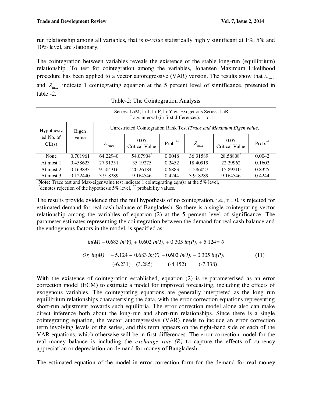run relationship among all variables, that is *p-value* statistically highly significant at 1%, 5% and 10% level, are stationary.

The cointegration between variables reveals the existence of the stable long-run (equilibrium) relationship. To test for cointegration among the variables, Johansen Maximum Likelihood procedure has been applied to a vector autoregressive (VAR) version. The results show that  $\lambda_{\text{reco}}$ and  $\lambda_{\text{max}}$  indicate 1 cointegrating equation at the 5 percent level of significance, presented in table -2.

| Series: LnM, LnI, LnP, LnY & Exogenous Series: LnR<br>Lags interval (in first differences): 1 to 1 |                |                                                                      |                               |            |                        |                               |         |  |  |  |
|----------------------------------------------------------------------------------------------------|----------------|----------------------------------------------------------------------|-------------------------------|------------|------------------------|-------------------------------|---------|--|--|--|
| Hypothesiz<br>ed No. of<br>CE(s)                                                                   | Eigen<br>value | Unrestricted Cointegration Rank Test (Trace and Maximum Eigen value) |                               |            |                        |                               |         |  |  |  |
|                                                                                                    |                | $\lambda_{trace}$                                                    | 0.05<br><b>Critical Value</b> | Prob. $**$ | $\lambda_{\text{max}}$ | 0.05<br><b>Critical Value</b> | Prob.** |  |  |  |
| None                                                                                               | 0.701961       | 64.22940                                                             | 54.07904*                     | 0.0048     | 36.31589               | 28.58808                      | 0.0042  |  |  |  |
| At most 1                                                                                          | 0.458623       | 27.91351                                                             | 35.19275                      | 0.2452     | 18.40919               | 22.29962                      | 0.1602  |  |  |  |
| At most 2                                                                                          | 0.169893       | 9.504316                                                             | 20.26184                      | 0.6883     | 5.586027               | 15.89210                      | 0.8325  |  |  |  |
| At most 3                                                                                          | 0.122440       | 3.918289                                                             | 9.164546                      | 0.4244     | 3.918289               | 9.164546                      | 0.4244  |  |  |  |

**Note:** Trace test and Max-eigenvalue test indicate 1 cointegrating eqn(s) at the 5% level,

\* denotes rejection of the hypothesis 5% level, \*\* probability values.

The results provide evidence that the null hypothesis of no cointegration, i.e.,  $r = 0$ , is rejected for estimated demand for real cash balance of Bangladesh. So there is a single cointegrating vector relationship among the variables of equation (2) at the 5 percent level of significance. The parameter estimates representing the cointegration between the demand for real cash balance and the endogenous factors in the model, is specified as:

$$
ln(M) - 0.683 ln(Y)_t + 0.602 ln(I)_t + 0.305 ln(P)_t + 5.124 = 0
$$
  
Or,  $ln(M) = -5.124 + 0.683 ln(Y)_t - 0.602 ln(I)_t - 0.305 ln(P)_t$  (11)  
(-6.231) (3.285) (-4.452) (-7.338)

With the existence of cointegration established, equation (2) is re-parameterised as an error correction model (ECM) to estimate a model for improved forecasting, including the effects of exogenous variables. The cointegrating equations are generally interpreted as the long run equilibrium relationships characterising the data, with the error correction equations representing short-run adjustment towards such equilibria. The error correction model alone also can make direct inference both about the long-run and short-run relationships. Since there is a single cointegrating equation, the vector autoregressive (VAR) needs to include an error correction term involving levels of the series, and this term appears on the right-hand side of each of the VAR equations, which otherwise will be in first differences. The error correction model for the real money balance is including the *exchange rate (R)* to capture the effects of currency appreciation or depreciation on demand for money of Bangladesh.

The estimated equation of the model in error correction form for the demand for real money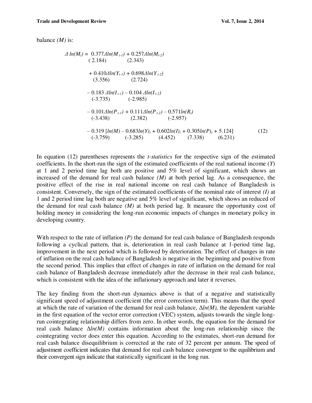balance *(M)* is:

$$
\Delta \ln(M_{t}) = 0.377 \Delta \ln(M_{t-1}) + 0.257 \Delta \ln(M_{t-2})
$$
\n(2.184) (2.343)  
\n+ 0.410 \Delta \ln(Y\_{t-1}) + 0.698 \Delta \ln(Y\_{t-2})  
\n(3.356) (2.724)  
\n- 0.183 \Delta \ln(I\_{t-1}) - 0.104 \Delta \ln(I\_{t-2})  
\n(-3.735) (-2.985)  
\n- 0.101 \Delta \ln(P\_{t-1}) + 0.111 \Delta \ln(P\_{t-2}) - 0.571 \ln(R\_{t})  
\n(-3.438) (2.382) (-2.957)  
\n- 0.319 [ln(M) - 0.683 ln(Y)<sub>t</sub> + 0.602 ln(I)<sub>t</sub> + 0.305 ln(P)<sub>t</sub> + 5.124]  
\n(-3.759) (-3.285) (4.452) (7.338) (6.231)

In equation (12) parentheses represents the *t-statistics* for the respective sign of the estimated coefficients. In the short-run the sign of the estimated coefficients of the real national income (*Y*) at 1 and 2 period time lag both are positive and 5% level of significant, which shows an increased of the demand for real cash balance  $(M)$  at both period lag. As a consequence, the positive effect of the rise in real national income on real cash balance of Bangladesh is consistent. Conversely, the sign of the estimated coefficients of the nominal rate of interest *(I)* at 1 and 2 period time lag both are negative and 5% level of significant, which shows an reduced of the demand for real cash balance *(M)* at both period lag. It measure the opportunity cost of holding money in considering the long-run economic impacts of changes in monetary policy in developing country.

With respect to the rate of inflation *(P)* the demand for real cash balance of Bangladesh responds following a cyclical pattern, that is, deterioration in real cash balance at 1-period time lag, improvement in the next period which is followed by deterioration. The effect of changes in rate of inflation on the real cash balance of Bangladesh is negative in the beginning and positive from the second period. This implies that effect of changes in rate of inflation on the demand for real cash balance of Bangladesh decrease immediately after the decrease in their real cash balance, which is consistent with the idea of the inflationary approach and later it reverses.

The key finding from the short-run dynamics above is that of a negative and statistically significant speed of adjustment coefficient (the error correction term). This means that the speed at which the rate of variation of the demand for real cash balance, Δ*ln(M),* the dependent variable in the first equation of the vector error correction (VEC) system, adjusts towards the single longrun cointegrating relationship differs from zero. In other words, the equation for the demand for real cash balance Δ*ln(M)* contains information about the long-run relationship since the cointegrating vector does enter this equation. According to the estimates, short-run demand for real cash balance disequilibrium is corrected at the rate of 32 percent per annum. The speed of adjustment coefficient indicates that demand for real cash balance convergent to the equilibrium and their convergent sign indicate that statistically significant in the long run.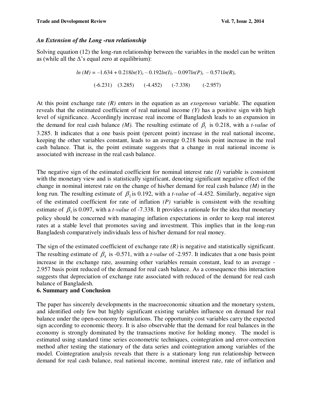## *An Extension of the Long -run relationship*

Solving equation (12) the long-run relationship between the variables in the model can be written as (while all the  $\Delta$ 's equal zero at equilibrium):

> $ln (M) = -1.634 + 0.218ln(Y)<sub>t</sub> - 0.192ln(I)<sub>t</sub> - 0.097ln(P)<sub>t</sub> - 0.571ln(R)<sub>t</sub>$ (-6.231) (3.285) (-4.452) (-7.338) (-2.957)

At this point exchange rate *(R)* enters in the equation as an *exogenous* variable. The equation reveals that the estimated coefficient of real national income *(Y)* has a positive sign with high level of significance. Accordingly increase real income of Bangladesh leads to an expansion in the demand for real cash balance *(M)*. The resulting estimate of  $\beta_1$  is 0.218, with a *t-value* of 3.285. It indicates that a one basis point (percent point) increase in the real national income, keeping the other variables constant, leads to an average 0.218 basis point increase in the real cash balance. That is, the point estimate suggests that a change in real national income is associated with increase in the real cash balance.

The negative sign of the estimated coefficient for nominal interest rate *(I)* variable is consistent with the monetary view and is statistically significant, denoting significant negative effect of the change in nominal interest rate on the change of his/her demand for real cash balance *(M)* in the long run. The resulting estimate of  $\beta_2$  is 0.192, with a *t-value* of -4.452. Similarly, negative sign of the estimated coefficient for rate of inflation *(P)* variable is consistent with the resulting estimate of  $\beta_3$  is 0.097, with a *t-value* of -7.338. It provides a rationale for the idea that monetary policy should be concerned with managing inflation expectations in order to keep real interest rates at a stable level that promotes saving and investment. This implies that in the long-run Bangladesh comparatively individuals less of his/her demand for real money.

The sign of the estimated coefficient of exchange rate *(R)* is negative and statistically significant. The resulting estimate of  $\beta_4$  is -0.571, with a *t-value* of -2.957. It indicates that a one basis point increase in the exchange rate, assuming other variables remain constant, lead to an average - 2.957 basis point reduced of the demand for real cash balance. As a consequence this interaction suggests that depreciation of exchange rate associated with reduced of the demand for real cash balance of Bangladesh.

## **6. Summary and Conclusion**

The paper has sincerely developments in the macroeconomic situation and the monetary system, and identified only few but highly significant existing variables influence on demand for real balance under the open-economy formulations. The opportunity cost variables carry the expected sign according to economic theory. It is also observable that the demand for real balances in the economy is strongly dominated by the transactions motive for holding money. The model is estimated using standard time series econometric techniques, cointegration and error-correction method after testing the stationary of the data series and cointegration among variables of the model. Cointegration analysis reveals that there is a stationary long run relationship between demand for real cash balance, real national income, nominal interest rate, rate of inflation and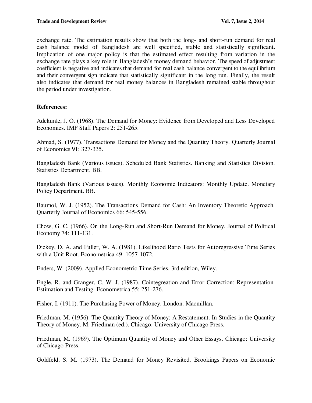exchange rate. The estimation results show that both the long- and short-run demand for real cash balance model of Bangladesh are well specified, stable and statistically significant. Implication of one major policy is that the estimated effect resulting from variation in the exchange rate plays a key role in Bangladesh"s money demand behavior. The speed of adjustment coefficient is negative and indicates that demand for real cash balance convergent to the equilibrium and their convergent sign indicate that statistically significant in the long run. Finally, the result also indicates that demand for real money balances in Bangladesh remained stable throughout the period under investigation.

## **References:**

Adekunle, J. O. (1968). The Demand for Money: Evidence from Developed and Less Developed Economies. IMF Staff Papers 2: 251-265.

Ahmad, S. (1977). Transactions Demand for Money and the Quantity Theory. Quarterly Journal of Economics 91: 327-335.

Bangladesh Bank (Various issues). Scheduled Bank Statistics. Banking and Statistics Division. Statistics Department. BB.

Bangladesh Bank (Various issues). Monthly Economic Indicators: Monthly Update. Monetary Policy Department. BB.

Baumol, W. J. (1952). The Transactions Demand for Cash: An Inventory Theoretic Approach. Quarterly Journal of Economics 66: 545-556.

Chow, G. C. (1966). On the Long-Run and Short-Run Demand for Money. Journal of Political Economy 74: 111-131.

Dickey, D. A. and Fuller, W. A. (1981). Likelihood Ratio Tests for Autoregressive Time Series with a Unit Root. Econometrica 49: 1057-1072.

Enders, W. (2009). Applied Econometric Time Series, 3rd edition, Wiley.

Engle, R. and Granger, C. W. J. (1987). Cointegreation and Error Correction: Representation. Estimation and Testing. Econometrica 55: 251-276.

Fisher, I. (1911). The Purchasing Power of Money. London: Macmillan.

Friedman, M. (1956). The Quantity Theory of Money: A Restatement. In Studies in the Quantity Theory of Money. M. Friedman (ed.). Chicago: University of Chicago Press.

Friedman, M. (1969). The Optimum Quantity of Money and Other Essays. Chicago: University of Chicago Press.

Goldfeld, S. M. (1973). The Demand for Money Revisited. Brookings Papers on Economic